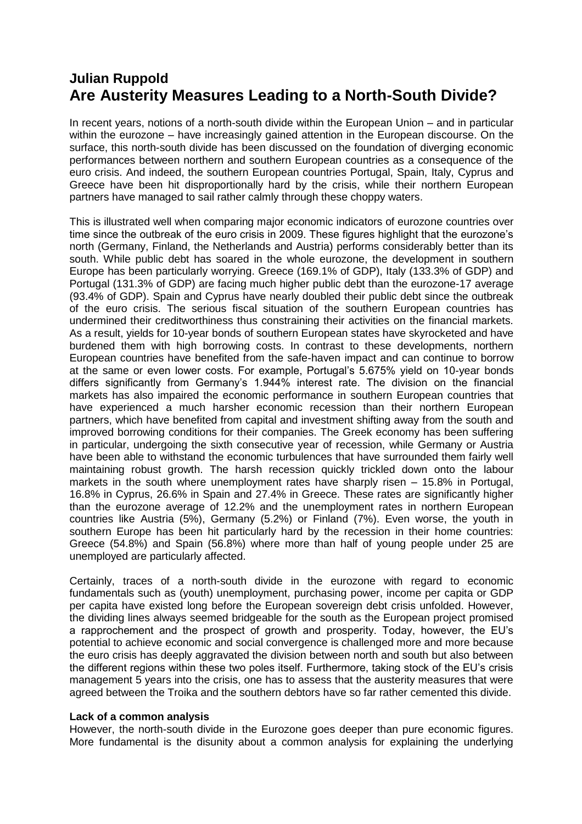## **Julian Ruppold Are Austerity Measures Leading to a North-South Divide?**

In recent years, notions of a north-south divide within the European Union – and in particular within the eurozone – have increasingly gained attention in the European discourse. On the surface, this north-south divide has been discussed on the foundation of diverging economic performances between northern and southern European countries as a consequence of the euro crisis. And indeed, the southern European countries Portugal, Spain, Italy, Cyprus and Greece have been hit disproportionally hard by the crisis, while their northern European partners have managed to sail rather calmly through these choppy waters.

This is illustrated well when comparing major economic indicators of eurozone countries over time since the outbreak of the euro crisis in 2009. These figures highlight that the eurozone's north (Germany, Finland, the Netherlands and Austria) performs considerably better than its south. While public debt has soared in the whole eurozone, the development in southern Europe has been particularly worrying. Greece (169.1% of GDP), Italy (133.3% of GDP) and Portugal (131.3% of GDP) are facing much higher public debt than the eurozone-17 average (93.4% of GDP). Spain and Cyprus have nearly doubled their public debt since the outbreak of the euro crisis. The serious fiscal situation of the southern European countries has undermined their creditworthiness thus constraining their activities on the financial markets. As a result, yields for 10-year bonds of southern European states have skyrocketed and have burdened them with high borrowing costs. In contrast to these developments, northern European countries have benefited from the safe-haven impact and can continue to borrow at the same or even lower costs. For example, Portugal's 5.675% yield on 10-year bonds differs significantly from Germany's 1.944% interest rate. The division on the financial markets has also impaired the economic performance in southern European countries that have experienced a much harsher economic recession than their northern European partners, which have benefited from capital and investment shifting away from the south and improved borrowing conditions for their companies. The Greek economy has been suffering in particular, undergoing the sixth consecutive year of recession, while Germany or Austria have been able to withstand the economic turbulences that have surrounded them fairly well maintaining robust growth. The harsh recession quickly trickled down onto the labour markets in the south where unemployment rates have sharply risen – 15.8% in Portugal, 16.8% in Cyprus, 26.6% in Spain and 27.4% in Greece. These rates are significantly higher than the eurozone average of 12.2% and the unemployment rates in northern European countries like Austria (5%), Germany (5.2%) or Finland (7%). Even worse, the youth in southern Europe has been hit particularly hard by the recession in their home countries: Greece (54.8%) and Spain (56.8%) where more than half of young people under 25 are unemployed are particularly affected.

Certainly, traces of a north-south divide in the eurozone with regard to economic fundamentals such as (youth) unemployment, purchasing power, income per capita or GDP per capita have existed long before the European sovereign debt crisis unfolded. However, the dividing lines always seemed bridgeable for the south as the European project promised a rapprochement and the prospect of growth and prosperity. Today, however, the EU's potential to achieve economic and social convergence is challenged more and more because the euro crisis has deeply aggravated the division between north and south but also between the different regions within these two poles itself. Furthermore, taking stock of the EU's crisis management 5 years into the crisis, one has to assess that the austerity measures that were agreed between the Troika and the southern debtors have so far rather cemented this divide.

## **Lack of a common analysis**

However, the north-south divide in the Eurozone goes deeper than pure economic figures. More fundamental is the disunity about a common analysis for explaining the underlying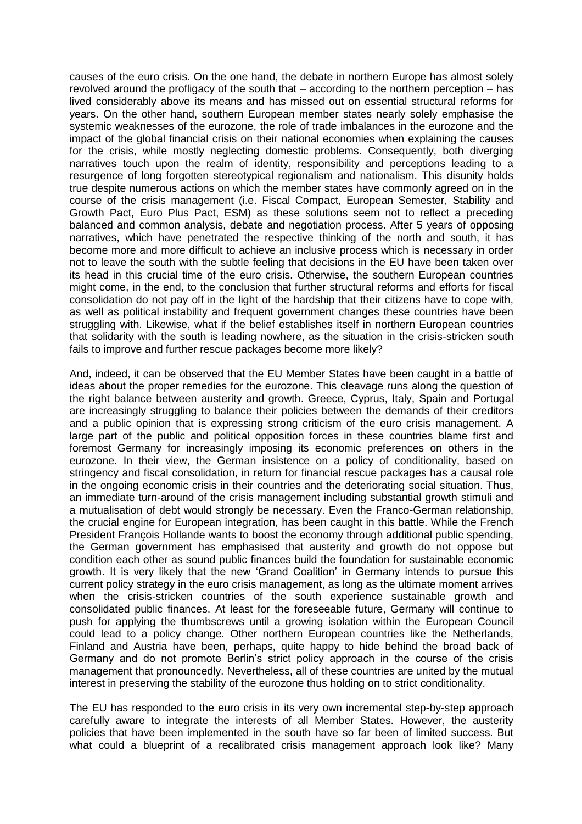causes of the euro crisis. On the one hand, the debate in northern Europe has almost solely revolved around the profligacy of the south that – according to the northern perception – has lived considerably above its means and has missed out on essential structural reforms for years. On the other hand, southern European member states nearly solely emphasise the systemic weaknesses of the eurozone, the role of trade imbalances in the eurozone and the impact of the global financial crisis on their national economies when explaining the causes for the crisis, while mostly neglecting domestic problems. Consequently, both diverging narratives touch upon the realm of identity, responsibility and perceptions leading to a resurgence of long forgotten stereotypical regionalism and nationalism. This disunity holds true despite numerous actions on which the member states have commonly agreed on in the course of the crisis management (i.e. Fiscal Compact, European Semester, Stability and Growth Pact, Euro Plus Pact, ESM) as these solutions seem not to reflect a preceding balanced and common analysis, debate and negotiation process. After 5 years of opposing narratives, which have penetrated the respective thinking of the north and south, it has become more and more difficult to achieve an inclusive process which is necessary in order not to leave the south with the subtle feeling that decisions in the EU have been taken over its head in this crucial time of the euro crisis. Otherwise, the southern European countries might come, in the end, to the conclusion that further structural reforms and efforts for fiscal consolidation do not pay off in the light of the hardship that their citizens have to cope with, as well as political instability and frequent government changes these countries have been struggling with. Likewise, what if the belief establishes itself in northern European countries that solidarity with the south is leading nowhere, as the situation in the crisis-stricken south fails to improve and further rescue packages become more likely?

And, indeed, it can be observed that the EU Member States have been caught in a battle of ideas about the proper remedies for the eurozone. This cleavage runs along the question of the right balance between austerity and growth. Greece, Cyprus, Italy, Spain and Portugal are increasingly struggling to balance their policies between the demands of their creditors and a public opinion that is expressing strong criticism of the euro crisis management. A large part of the public and political opposition forces in these countries blame first and foremost Germany for increasingly imposing its economic preferences on others in the eurozone. In their view, the German insistence on a policy of conditionality, based on stringency and fiscal consolidation, in return for financial rescue packages has a causal role in the ongoing economic crisis in their countries and the deteriorating social situation. Thus, an immediate turn-around of the crisis management including substantial growth stimuli and a mutualisation of debt would strongly be necessary. Even the Franco-German relationship, the crucial engine for European integration, has been caught in this battle. While the French President François Hollande wants to boost the economy through additional public spending, the German government has emphasised that austerity and growth do not oppose but condition each other as sound public finances build the foundation for sustainable economic growth. It is very likely that the new 'Grand Coalition' in Germany intends to pursue this current policy strategy in the euro crisis management, as long as the ultimate moment arrives when the crisis-stricken countries of the south experience sustainable growth and consolidated public finances. At least for the foreseeable future, Germany will continue to push for applying the thumbscrews until a growing isolation within the European Council could lead to a policy change. Other northern European countries like the Netherlands, Finland and Austria have been, perhaps, quite happy to hide behind the broad back of Germany and do not promote Berlin's strict policy approach in the course of the crisis management that pronouncedly. Nevertheless, all of these countries are united by the mutual interest in preserving the stability of the eurozone thus holding on to strict conditionality.

The EU has responded to the euro crisis in its very own incremental step-by-step approach carefully aware to integrate the interests of all Member States. However, the austerity policies that have been implemented in the south have so far been of limited success. But what could a blueprint of a recalibrated crisis management approach look like? Many